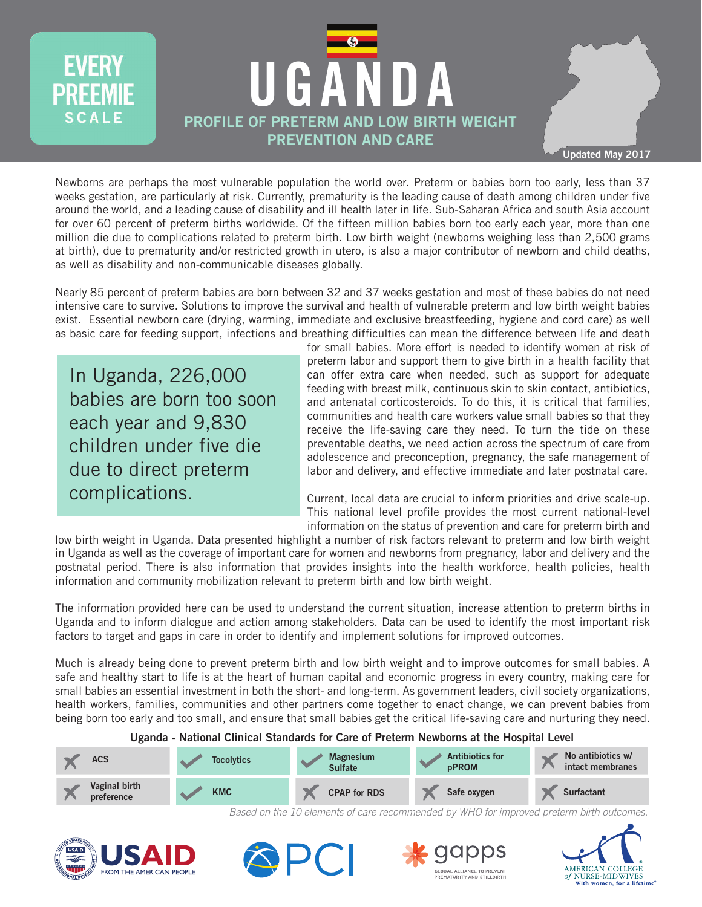

**Updated May 2017**

Newborns are perhaps the most vulnerable population the world over. Preterm or babies born too early, less than 37 weeks gestation, are particularly at risk. Currently, prematurity is the leading cause of death among children under five around the world, and a leading cause of disability and ill health later in life. Sub-Saharan Africa and south Asia account for over 60 percent of preterm births worldwide. Of the fifteen million babies born too early each year, more than one million die due to complications related to preterm birth. Low birth weight (newborns weighing less than 2,500 grams at birth), due to prematurity and/or restricted growth in utero, is also a major contributor of newborn and child deaths, as well as disability and non-communicable diseases globally.

Nearly 85 percent of preterm babies are born between 32 and 37 weeks gestation and most of these babies do not need intensive care to survive. Solutions to improve the survival and health of vulnerable preterm and low birth weight babies exist. Essential newborn care (drying, warming, immediate and exclusive breastfeeding, hygiene and cord care) as well as basic care for feeding support, infections and breathing difficulties can mean the difference between life and death

In Uganda, 226,000 babies are born too soon each year and 9,830 children under five die due to direct preterm complications.

**EVERY** 

SCALE

for small babies. More effort is needed to identify women at risk of preterm labor and support them to give birth in a health facility that can offer extra care when needed, such as support for adequate feeding with breast milk, continuous skin to skin contact, antibiotics, and antenatal corticosteroids. To do this, it is critical that families, communities and health care workers value small babies so that they receive the life-saving care they need. To turn the tide on these preventable deaths, we need action across the spectrum of care from adolescence and preconception, pregnancy, the safe management of labor and delivery, and effective immediate and later postnatal care.

Current, local data are crucial to inform priorities and drive scale-up. This national level profile provides the most current national-level information on the status of prevention and care for preterm birth and

low birth weight in Uganda. Data presented highlight a number of risk factors relevant to preterm and low birth weight in Uganda as well as the coverage of important care for women and newborns from pregnancy, labor and delivery and the postnatal period. There is also information that provides insights into the health workforce, health policies, health information and community mobilization relevant to preterm birth and low birth weight.

The information provided here can be used to understand the current situation, increase attention to preterm births in Uganda and to inform dialogue and action among stakeholders. Data can be used to identify the most important risk factors to target and gaps in care in order to identify and implement solutions for improved outcomes.

Much is already being done to prevent preterm birth and low birth weight and to improve outcomes for small babies. A safe and healthy start to life is at the heart of human capital and economic progress in every country, making care for small babies an essential investment in both the short- and long-term. As government leaders, civil society organizations, health workers, families, communities and other partners come together to enact change, we can prevent babies from being born too early and too small, and ensure that small babies get the critical life-saving care and nurturing they need.



Based on the 10 elements of care recommended by WHO for improved preterm birth outcomes.







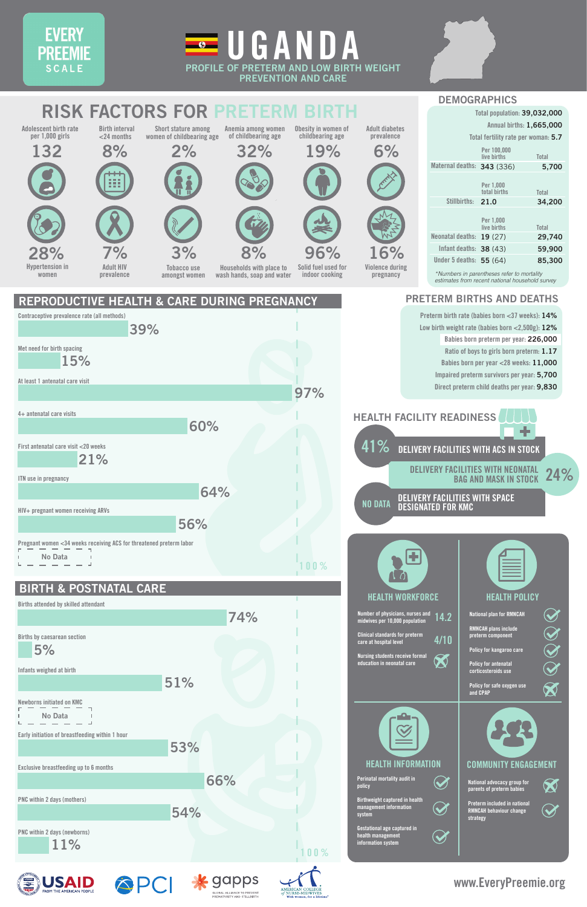**Policy for kangaroo care Nursing students receive formal**  K 0

**www.EveryPreemie.org**

**5%**

**Births attended by skilled attendant** 

**Births by caesarean section**

**HEALTH WORKFORCE**

**14.2**

**4/10**

**HEALTH POLICY**

**Number of physicians, nurses and midwives per 10,000 population Clinical standards for preterm care at hospital level**

**National plan for RMNCAH**

**RMNCAH plans include preterm component**





## **EVERY PREEMIE SCALE**





## **BIRTH & POSTNATAL CARE**



**74%**

**DEMOGRAPHICS**

# **RISK FACTORS FOR PRETERM**